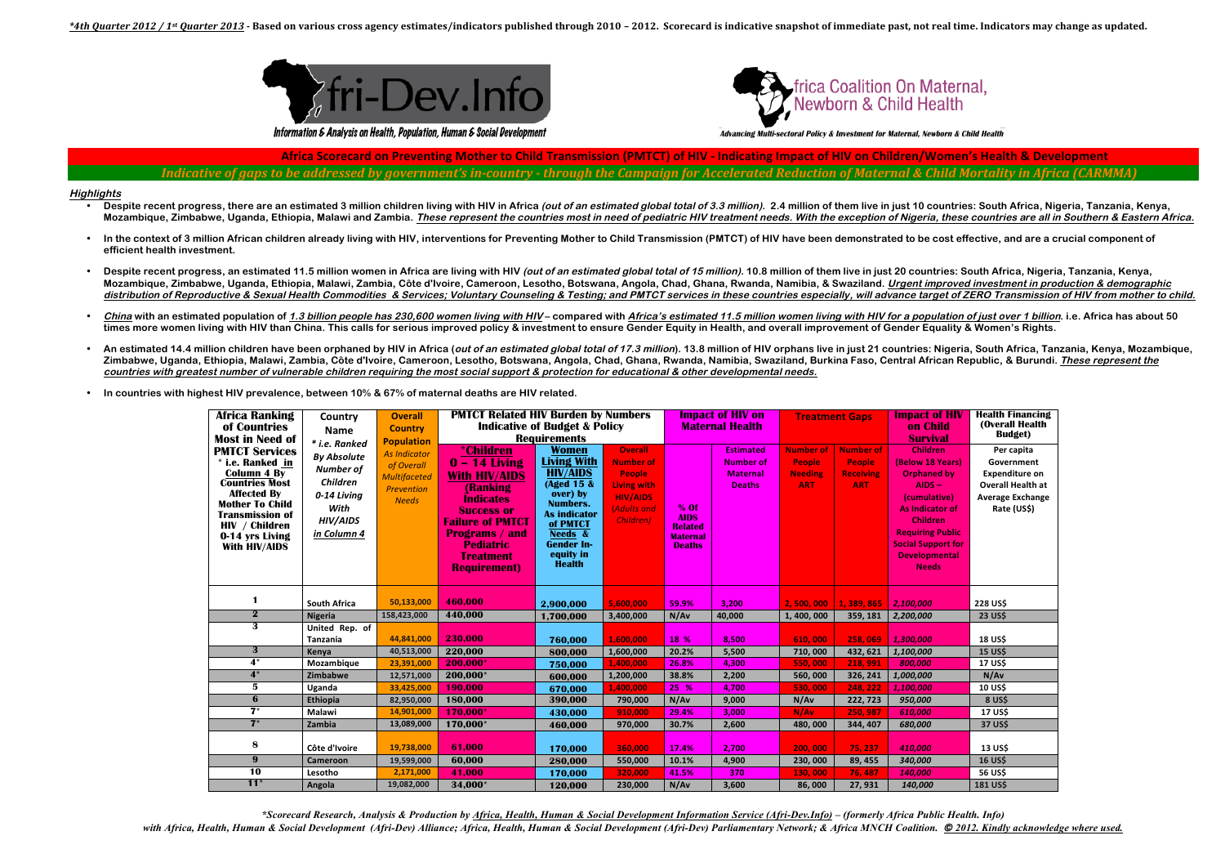



Information & Analysis on Health, Population, Human & Social Development

Advancing Multi-sectoral Policy & Investment for Maternal, Newborn & Child Health

Africa Scorecard on Preventing Mother to Child Transmission (PMTCT) of HIV - Indicating Impact of HIV on Children/Women's Health & Development Indicative of gaps to be addressed by aovernment's in-country - through the Campaian for Accelerated Reduction of Maternal & Child Mortality in Africa (CARMMA

## **Highlights**

- Despite recent progress, there are an estimated 3 million children living with HIV in Africa (out of an estimated global total of 3.3 million). 2.4 million of them live in just 10 countries: South Africa, Nigeria, Tanzania Mozambique, Zimbabwe, Uganda, Ethiopia, Malawi and Zambia. These represent the countries most in need of pediatric HIV treatment needs. With the exception of Nigeria, these countries are all in Southern & Eastern Africa.
- In the context of 3 million African children already living with HIV, interventions for Preventing Mother to Child Transmission (PMTCT) of HIV have been demonstrated to be cost effective, and are a crucial component of  $\bullet$ efficient health investment.
- Despite recent progress, an estimated 11.5 million women in Africa are living with HIV (out of an estimated global total of 15 million), 10.8 million of them live in just 20 countries: South Africa, Nigeria, Tanzania, Keny Mozambique, Zimbabwe, Uganda, Ethiopia, Malawi, Zambia, Côte d'Ivoire, Cameroon, Lesotho, Botswana, Angola, Chad, Ghana, Rwanda, Namibia, & Swaziland. Urgent improved investment in production & demographic distribution of Reproductive & Sexual Health Commodities & Services; Voluntary Counseling & Testing; and PMTCT services in these countries especially, will advance target of ZERO Transmission of HIV from mother to child.
- China with an estimated population of 1.3 billion people has 230,600 women living with HIV-compared with Africa's estimated 11.5 million women living with HIV for a population of just over 1 billion, i.e. Africa has about times more women living with HIV than China. This calls for serious improved policy & investment to ensure Gender Equity in Health, and overall improvement of Gender Equality & Women's Rights.
- An estimated 14.4 million children have been orphaned by HIV in Africa (out of an estimated global total of 17.3 million). 13.8 million of HIV orphans live in just 21 countries: Nigeria, South Africa, Tanzania, Kenya, Moza Zimbabwe, Uganda, Ethiopia, Malawi, Zambia, Côte d'Ivoire, Cameroon, Lesotho, Botswana, Angola, Chad, Ghana, Rwanda, Namibia, Swaziland, Burkina Faso, Central African Republic, & Burundi. These represent the countries with greatest number of vulnerable children requiring the most social support & protection for educational & other developmental needs.
- In countries with highest HIV prevalence, between 10% & 67% of maternal deaths are HIV related.

| Africa Ranking<br>of Countries<br><b>Most in Need of</b>                                                                                                                                                                        | Country<br><b>Name</b><br>* i.e. Ranked<br><b>By Absolute</b><br><b>Number of</b><br><b>Children</b><br>0-14 Living<br>With<br>HIV/AIDS<br>in Column 4 | <b>Overall</b><br><b>Country</b><br><b>Population</b><br><b>As Indicator</b><br>of Overall<br><b>Multifaceted</b><br>Prevention<br><b>Needs</b> | <b>PMTCT Related HIV Burden by Numbers</b><br><b>Indicative of Budget &amp; Policy</b><br><b>Requirements</b>                                                                                                                               |                                                                                                                                                                                                     |                                                                                                                           | <b>Impact of HIV on</b><br><b>Maternal Health</b>                           |                                                                          | <b>Treatment Gaps</b>                                             |                                                              | <b>Impact of HIV</b><br>on Child<br><b>Survival</b>                                                                                                                                                                         | <b>Health Financing</b><br>(Overall Health)<br><b>Budget</b> )                                                          |
|---------------------------------------------------------------------------------------------------------------------------------------------------------------------------------------------------------------------------------|--------------------------------------------------------------------------------------------------------------------------------------------------------|-------------------------------------------------------------------------------------------------------------------------------------------------|---------------------------------------------------------------------------------------------------------------------------------------------------------------------------------------------------------------------------------------------|-----------------------------------------------------------------------------------------------------------------------------------------------------------------------------------------------------|---------------------------------------------------------------------------------------------------------------------------|-----------------------------------------------------------------------------|--------------------------------------------------------------------------|-------------------------------------------------------------------|--------------------------------------------------------------|-----------------------------------------------------------------------------------------------------------------------------------------------------------------------------------------------------------------------------|-------------------------------------------------------------------------------------------------------------------------|
| <b>PMTCT Services</b><br>* i.e. Ranked in<br><b>Column 4 By</b><br><b>Countries Most</b><br><b>Affected By</b><br><b>Mother To Child</b><br><b>Transmission of</b><br><b>HIV</b> / Children<br>0-14 yrs Living<br>With HIV/AIDS |                                                                                                                                                        |                                                                                                                                                 | <i><b>*Children</b></i><br>$0 - 14$ Living<br><b>With HIV/AIDS</b><br>(Ranking<br><b>Indicates</b><br><b>Success or</b><br><b>Failure of PMTCT</b><br><b>Programs / and</b><br><b>Pediatric</b><br><b>Treatment</b><br><b>Requirement</b> ) | <b>Women</b><br><b>Living With</b><br><b>HIV/AIDS</b><br>(Aged 15 &<br>over) by<br><b>Numbers.</b><br><b>As indicator</b><br>of PMTCT<br>Needs &<br><b>Gender In-</b><br>equity in<br><b>Health</b> | <b>Overall</b><br><b>Number of</b><br>People<br><b>Living with</b><br><b>HIV/AIDS</b><br>(Adults and<br><b>Children</b> ) | $%$ Of<br><b>AIDS</b><br><b>Related</b><br><b>Maternal</b><br><b>Deaths</b> | <b>Estimated</b><br><b>Number of</b><br><b>Maternal</b><br><b>Deaths</b> | <b>Number of</b><br><b>People</b><br><b>Needing</b><br><b>ART</b> | <b>Number of</b><br>People<br><b>Receiving</b><br><b>ART</b> | <b>Children</b><br>(Below 18 Years)<br><b>Orphaned by</b><br>$AIDS -$<br>(cumulative)<br>As Indicator of<br><b>Children</b><br><b>Requiring Public</b><br><b>Social Support for</b><br><b>Developmental</b><br><b>Needs</b> | Per capita<br>Government<br><b>Expenditure on</b><br><b>Overall Health at</b><br><b>Average Exchange</b><br>Rate (US\$) |
| $\mathbf{1}$                                                                                                                                                                                                                    | <b>South Africa</b>                                                                                                                                    | 50,133,000                                                                                                                                      | 460.000                                                                                                                                                                                                                                     | 2,900,000                                                                                                                                                                                           | 5,600,000                                                                                                                 | 59.9%                                                                       | 3,200                                                                    | 2,500,000                                                         | 1, 389, 865                                                  | 2,100,000                                                                                                                                                                                                                   | <b>228 US\$</b>                                                                                                         |
| $\mathbf{2}$                                                                                                                                                                                                                    | Nigeria                                                                                                                                                | 158,423,000                                                                                                                                     | 440,000                                                                                                                                                                                                                                     | 1,700,000                                                                                                                                                                                           | 3,400,000                                                                                                                 | N/Av                                                                        | 40,000                                                                   | 1,400,000                                                         | 359, 181                                                     | 2,200,000                                                                                                                                                                                                                   | <b>23 US\$</b>                                                                                                          |
| 3                                                                                                                                                                                                                               | United Rep. of<br>Tanzania                                                                                                                             | 44,841,000                                                                                                                                      | 230,000                                                                                                                                                                                                                                     | 760,000                                                                                                                                                                                             | 1.600.000                                                                                                                 | 18 %                                                                        | 8,500                                                                    | 610,000                                                           | 258,069                                                      | 1,300,000                                                                                                                                                                                                                   | <b>18 US\$</b>                                                                                                          |
| $\mathbf{3}$                                                                                                                                                                                                                    | Kenya                                                                                                                                                  | 40,513,000                                                                                                                                      | 220,000                                                                                                                                                                                                                                     | 800.000                                                                                                                                                                                             | 1,600,000                                                                                                                 | 20.2%                                                                       | 5,500                                                                    | 710,000                                                           | 432, 621                                                     | 1,100,000                                                                                                                                                                                                                   | <b>15 USS</b>                                                                                                           |
| $4^*$                                                                                                                                                                                                                           | Mozambique                                                                                                                                             | 23,391,000                                                                                                                                      | 200,000*                                                                                                                                                                                                                                    | 750.000                                                                                                                                                                                             | 1,400,000                                                                                                                 | 26.8%                                                                       | 4,300                                                                    | 550,000                                                           | 218, 991                                                     | 800,000                                                                                                                                                                                                                     | <b>17 US\$</b>                                                                                                          |
| $4*$                                                                                                                                                                                                                            | Zimbabwe                                                                                                                                               | 12,571,000                                                                                                                                      | 200,000*                                                                                                                                                                                                                                    | 600.000                                                                                                                                                                                             | 1,200,000                                                                                                                 | 38.8%                                                                       | 2,200                                                                    | 560,000                                                           | 326, 241                                                     | 1,000,000                                                                                                                                                                                                                   | N/Av                                                                                                                    |
| 5                                                                                                                                                                                                                               | Uganda                                                                                                                                                 | 33,425,000                                                                                                                                      | 190.000                                                                                                                                                                                                                                     | 670.000                                                                                                                                                                                             | 1,400,000                                                                                                                 | 25 %                                                                        | 4,700                                                                    | 530,000                                                           | 248, 222                                                     | 1,100,000                                                                                                                                                                                                                   | <b>10 US\$</b>                                                                                                          |
| 6                                                                                                                                                                                                                               | Ethiopia                                                                                                                                               | 82,950,000                                                                                                                                      | 180,000                                                                                                                                                                                                                                     | 390,000                                                                                                                                                                                             | 790,000                                                                                                                   | N/Av                                                                        | 9,000                                                                    | N/Av                                                              | 222, 723                                                     | 950,000                                                                                                                                                                                                                     | <b>8 US\$</b>                                                                                                           |
| $\overline{\mathbf{7}}$                                                                                                                                                                                                         | Malawi                                                                                                                                                 | 14,901,000                                                                                                                                      | 170.000*                                                                                                                                                                                                                                    | 430.000                                                                                                                                                                                             | 910.000                                                                                                                   | 29.4%                                                                       | 3,000                                                                    | N/Av                                                              | 250.987                                                      | 610.000                                                                                                                                                                                                                     | <b>17 USS</b>                                                                                                           |
| $7^*$                                                                                                                                                                                                                           | Zambia                                                                                                                                                 | 13,089,000                                                                                                                                      | 170,000*                                                                                                                                                                                                                                    | 460,000                                                                                                                                                                                             | 970,000                                                                                                                   | 30.7%                                                                       | 2,600                                                                    | 480,000                                                           | 344, 407                                                     | 680,000                                                                                                                                                                                                                     | 37 US\$                                                                                                                 |
| 8<br>$9^{\circ}$                                                                                                                                                                                                                | Côte d'Ivoire<br><b>Cameroon</b>                                                                                                                       | 19,738,000<br>19,599,000                                                                                                                        | 61,000<br>60,000                                                                                                                                                                                                                            | 170,000<br>280,000                                                                                                                                                                                  | 360,000<br>550,000                                                                                                        | 17.4%<br>10.1%                                                              | 2,700<br>4,900                                                           | 200,000<br>230,000                                                | 75, 237<br>89, 455                                           | 410,000<br>340,000                                                                                                                                                                                                          | <b>13 US\$</b><br><b>16 USS</b>                                                                                         |
| 10                                                                                                                                                                                                                              | Lesotho                                                                                                                                                | 2,171,000                                                                                                                                       | 41,000                                                                                                                                                                                                                                      | 170.000                                                                                                                                                                                             | 320,000                                                                                                                   | 41.5%                                                                       | 370                                                                      | 130,000                                                           | 76,487                                                       | 140,000                                                                                                                                                                                                                     | 56 US\$                                                                                                                 |
| $11*$                                                                                                                                                                                                                           | Angola                                                                                                                                                 | 19,082,000                                                                                                                                      | 34,000 <sup>*</sup>                                                                                                                                                                                                                         | 120,000                                                                                                                                                                                             | 230,000                                                                                                                   | N/Av                                                                        | 3,600                                                                    | 86,000                                                            | 27,931                                                       | 140,000                                                                                                                                                                                                                     | <b>181 US\$</b>                                                                                                         |

\*Scorecard Research, Analysis & Production by Africa, Health, Human & Social Development Information Service (Afri-Dev.Info) – (formerly Africa Public Health. Info) with Africa, Health, Human & Social Development (Afri-Dev) Alliance; Africa, Health, Human & Social Development (Afri-Dev) Parliamentary Network; & Africa MNCH Coalition. © 2012. Kindly acknowledge where used.